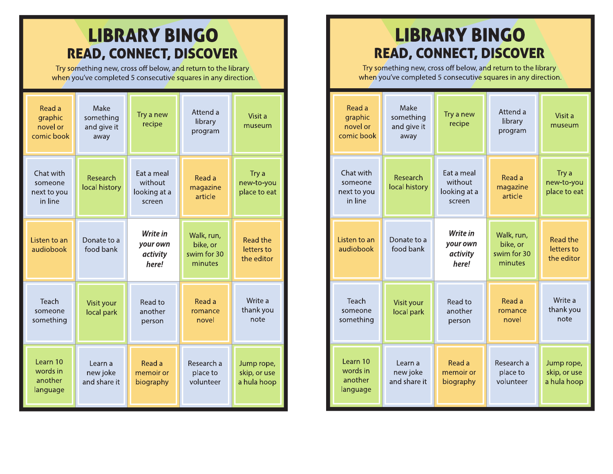## **LIBRARY BINGO READ, CONNECT, DISCOVER**

Try something new, cross off below, and return to the library when you've completed 5 consecutive squares in any direction.

| Read a<br>graphic<br>novel or<br>comic book    | Make<br>something<br>and give it<br>away | Try a new<br>recipe                             | Attend a<br>library<br>program                   | Visit a<br>museum                           |
|------------------------------------------------|------------------------------------------|-------------------------------------------------|--------------------------------------------------|---------------------------------------------|
| Chat with<br>someone<br>next to you<br>in line | Research<br>local history                | Eat a meal<br>without<br>looking at a<br>screen | Read a<br>magazine<br>article                    | Try a<br>new-to-you<br>place to eat         |
| Listen to an<br>audiobook                      | Donate to a<br>food bank                 | Write in<br>your own<br>activity<br>here!       | Walk, run,<br>bike, or<br>swim for 30<br>minutes | <b>Read the</b><br>letters to<br>the editor |
| Teach<br>someone<br>something                  | Visit your<br>local park                 | Read to<br>another<br>person                    | Read a<br>romance<br>novel                       | Write a<br>thank you<br>note                |
| Learn 10<br>words in<br>another<br>language    | Learn a<br>new joke<br>and share it      | Read a<br>memoir or<br>biography                | Research a<br>place to<br>volunteer              | Jump rope,<br>skip, or use<br>a hula hoop   |

## **LIBRARY BINGO READ, CONNECT, DISCOVER**

Try something new, cross off below, and return to the library when you've completed 5 consecutive squares in any direction.

| Read a<br>graphic<br>novel or<br>comic book    | Make<br>something<br>and give it<br>away | Try a new<br>recipe                             | Attend a<br>library<br>program                   | Visit a<br>museum                           |
|------------------------------------------------|------------------------------------------|-------------------------------------------------|--------------------------------------------------|---------------------------------------------|
| Chat with<br>someone<br>next to you<br>in line | Research<br>local history                | Eat a meal<br>without<br>looking at a<br>screen | Read a<br>magazine<br>article                    | Try a<br>new-to-you<br>place to eat         |
| Listen to an<br>audiobook                      | Donate to a<br>food bank                 | Write in<br>your own<br>activity<br>here!       | Walk, run,<br>bike, or<br>swim for 30<br>minutes | <b>Read the</b><br>letters to<br>the editor |
| Teach<br>someone<br>something                  | Visit your<br>local park                 | Read to<br>another<br>person                    | Read a<br>romance<br>novel                       | Write a<br>thank you<br>note                |
| Learn 10<br>words in<br>another<br>language    | Learn a<br>new joke<br>and share it      | Read a<br>memoir or<br>biography                | Research a<br>place to<br>volunteer              | Jump rope,<br>skip, or use<br>a hula hoop   |